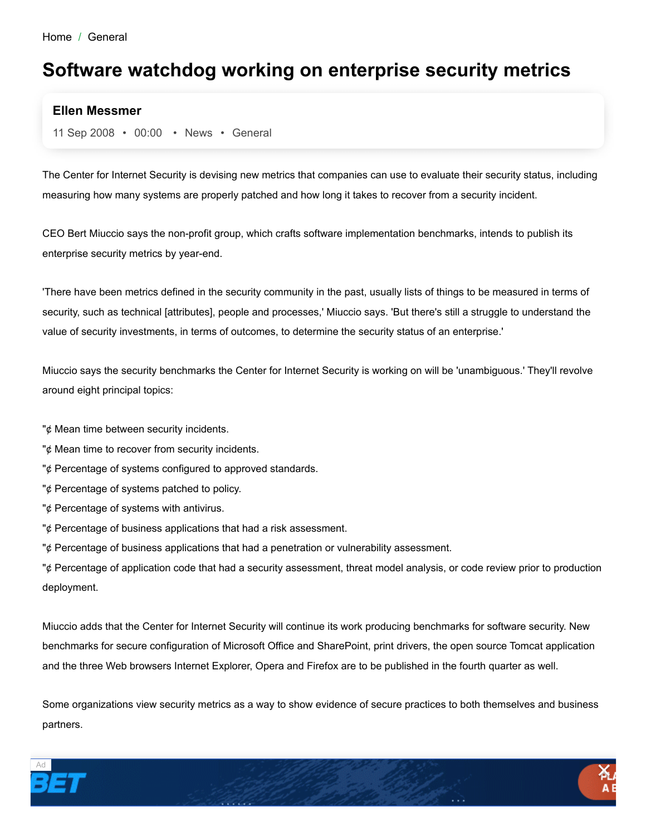## **Software watchdog working on enterprise security metrics**

## **Ellen Messmer**

11 Sep 2008 • 00:00 • News • General

The Center for Internet Security is devising new metrics that companies can use to evaluate their security status, including measuring how many systems are properly patched and how long it takes to recover from a security incident.

CEO Bert Miuccio says the non-profit group, which crafts software implementation benchmarks, intends to publish its enterprise security metrics by year-end.

'There have been metrics defined in the security community in the past, usually lists of things to be measured in terms of security, such as technical [attributes], people and processes,' Miuccio says. 'But there's still a struggle to understand the value of security investments, in terms of outcomes, to determine the security status of an enterprise.'

Miuccio says the security benchmarks the Center for Internet Security is working on will be 'unambiguous.' They'll revolve around eight principal topics:

- " $\oint$  Mean time between security incidents.
- $\psi$  Mean time to recover from security incidents.
- "¢ Percentage of systems configured to approved standards.
- "¢ Percentage of systems patched to policy.
- " $\phi$  Percentage of systems with antivirus.
- "¢ Percentage of business applications that had a risk assessment.
- "¢ Percentage of business applications that had a penetration or vulnerability assessment.

"¢ Percentage of application code that had a security assessment, threat model analysis, or code review prior to production deployment.

Miuccio adds that the Center for Internet Security will continue its work producing benchmarks for software security. New benchmarks for secure configuration of Microsoft Office and SharePoint, print drivers, the open source Tomcat application and the three Web browsers Internet Explorer, Opera and Firefox are to be published in the fourth quarter as well.

Some organizations view security metrics as a way to show evidence of secure practices to both themselves and business partners.